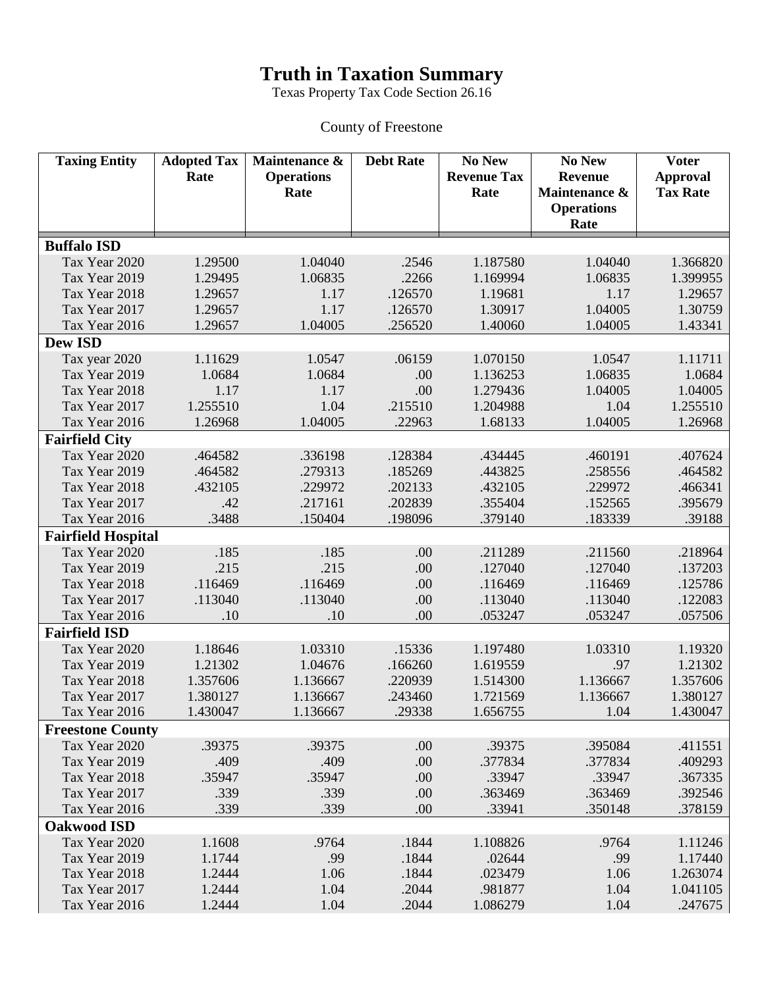## **Truth in Taxation Summary**

Texas Property Tax Code Section 26.16

## County of Freestone

| <b>Taxing Entity</b>           | <b>Adopted Tax</b><br>Rate | Maintenance &<br><b>Operations</b><br>Rate | <b>Debt Rate</b> | No New<br><b>Revenue Tax</b><br>Rate | No New<br><b>Revenue</b><br>Maintenance &<br><b>Operations</b> | <b>Voter</b><br><b>Approval</b><br><b>Tax Rate</b> |
|--------------------------------|----------------------------|--------------------------------------------|------------------|--------------------------------------|----------------------------------------------------------------|----------------------------------------------------|
|                                |                            |                                            |                  |                                      | Rate                                                           |                                                    |
| <b>Buffalo ISD</b>             |                            |                                            |                  |                                      |                                                                |                                                    |
| Tax Year 2020                  | 1.29500                    | 1.04040                                    | .2546            | 1.187580                             | 1.04040                                                        | 1.366820                                           |
| Tax Year 2019                  | 1.29495                    | 1.06835                                    | .2266            | 1.169994                             | 1.06835                                                        | 1.399955                                           |
| Tax Year 2018                  | 1.29657                    | 1.17                                       | .126570          | 1.19681                              | 1.17                                                           | 1.29657                                            |
| Tax Year 2017                  | 1.29657                    | 1.17                                       | .126570          | 1.30917                              | 1.04005                                                        | 1.30759                                            |
| Tax Year 2016                  | 1.29657                    | 1.04005                                    | .256520          | 1.40060                              | 1.04005                                                        | 1.43341                                            |
| <b>Dew ISD</b>                 |                            |                                            |                  |                                      |                                                                |                                                    |
| Tax year 2020                  | 1.11629                    | 1.0547                                     | .06159           | 1.070150                             | 1.0547                                                         | 1.11711                                            |
| Tax Year 2019                  | 1.0684                     | 1.0684                                     | .00              | 1.136253                             | 1.06835                                                        | 1.0684                                             |
| Tax Year 2018                  | 1.17                       | 1.17                                       | .00              | 1.279436                             | 1.04005                                                        | 1.04005                                            |
| Tax Year 2017                  | 1.255510                   | 1.04                                       | .215510          | 1.204988                             | 1.04                                                           | 1.255510                                           |
| Tax Year 2016                  | 1.26968                    | 1.04005                                    | .22963           | 1.68133                              | 1.04005                                                        | 1.26968                                            |
| <b>Fairfield City</b>          |                            |                                            |                  |                                      |                                                                |                                                    |
| Tax Year 2020                  | .464582                    | .336198                                    | .128384          | .434445                              | .460191                                                        | .407624                                            |
| Tax Year 2019                  | .464582                    | .279313                                    | .185269          | .443825                              | .258556                                                        | .464582                                            |
| Tax Year 2018                  | .432105                    | .229972                                    | .202133          | .432105                              | .229972                                                        | .466341                                            |
| Tax Year 2017                  | .42                        | .217161                                    | .202839          | .355404                              | .152565                                                        | .395679                                            |
| Tax Year 2016                  | .3488                      | .150404                                    | .198096          | .379140                              | .183339                                                        | .39188                                             |
| <b>Fairfield Hospital</b>      |                            |                                            |                  |                                      |                                                                |                                                    |
| Tax Year 2020                  | .185                       | .185                                       | .00              | .211289                              | .211560                                                        | .218964                                            |
| Tax Year 2019                  | .215                       | .215                                       | .00              | .127040                              | .127040                                                        | .137203                                            |
| Tax Year 2018                  | .116469                    | .116469                                    | .00              | .116469                              | .116469                                                        | .125786                                            |
| Tax Year 2017                  | .113040                    | .113040                                    | .00              | .113040                              | .113040                                                        | .122083                                            |
| Tax Year 2016                  | .10                        | .10                                        | .00              | .053247                              | .053247                                                        | .057506                                            |
| <b>Fairfield ISD</b>           |                            |                                            |                  |                                      |                                                                |                                                    |
| Tax Year 2020                  | 1.18646                    | 1.03310                                    | .15336           | 1.197480                             | 1.03310                                                        | 1.19320                                            |
| Tax Year 2019                  | 1.21302                    | 1.04676                                    | .166260          | 1.619559                             | .97                                                            | 1.21302                                            |
| Tax Year 2018                  | 1.357606                   | 1.136667                                   | .220939          | 1.514300                             | 1.136667                                                       | 1.357606                                           |
| Tax Year 2017                  | 1.380127                   | 1.136667                                   | .243460          | 1.721569                             | 1.136667                                                       | 1.380127                                           |
| Tax Year 2016                  | 1.430047                   | 1.136667                                   | .29338           | 1.656755                             | 1.04                                                           | 1.430047                                           |
| <b>Freestone County</b>        |                            |                                            |                  |                                      |                                                                |                                                    |
| Tax Year 2020                  | .39375                     | .39375                                     | .00              | .39375                               | .395084                                                        | .411551                                            |
| Tax Year 2019                  | .409                       | .409                                       | .00              | .377834                              | .377834                                                        | .409293                                            |
| Tax Year 2018                  | .35947                     | .35947                                     | .00              | .33947                               | .33947                                                         | .367335                                            |
| Tax Year 2017                  | .339                       | .339                                       | .00              | .363469                              | .363469                                                        | .392546                                            |
| Tax Year 2016                  | .339                       | .339                                       | .00              | .33941                               | .350148                                                        | .378159                                            |
| <b>Oakwood ISD</b>             |                            |                                            |                  |                                      |                                                                |                                                    |
| Tax Year 2020                  | 1.1608                     | .9764                                      | .1844            | 1.108826                             | .9764                                                          | 1.11246                                            |
| Tax Year 2019                  | 1.1744                     | .99                                        | .1844            | .02644                               | .99                                                            | 1.17440                                            |
| Tax Year 2018                  | 1.2444                     | 1.06                                       | .1844            | .023479                              | 1.06                                                           | 1.263074                                           |
| Tax Year 2017<br>Tax Year 2016 | 1.2444                     | 1.04<br>1.04                               | .2044<br>.2044   | .981877                              | 1.04<br>1.04                                                   | 1.041105<br>.247675                                |
|                                | 1.2444                     |                                            |                  | 1.086279                             |                                                                |                                                    |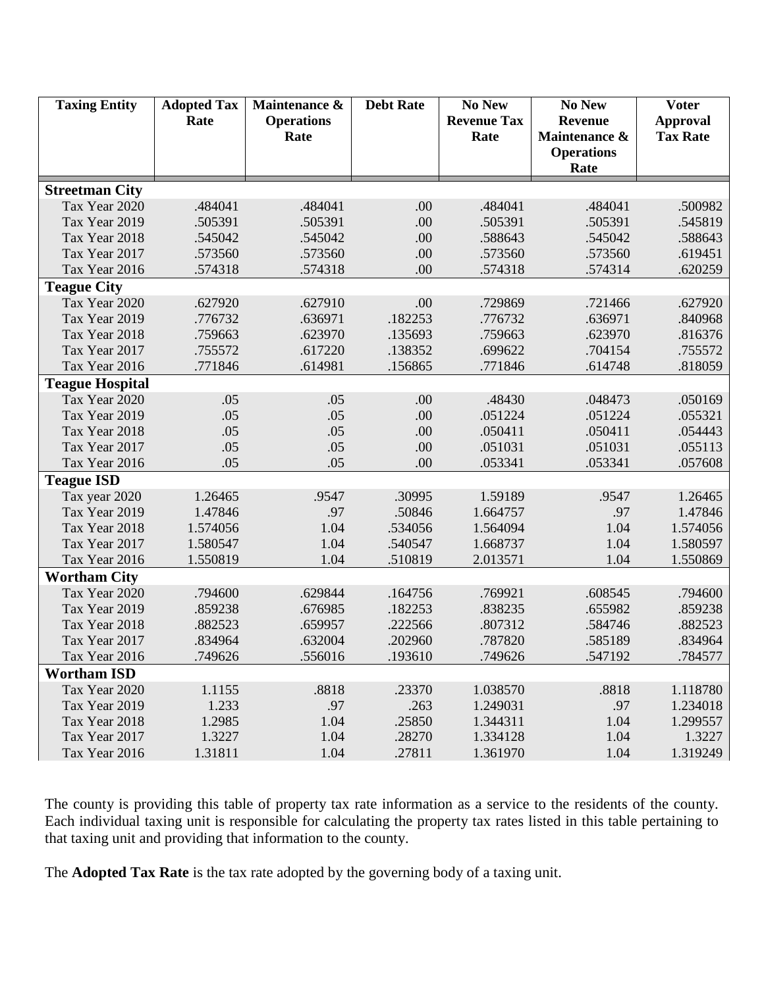| <b>Taxing Entity</b>   | <b>Adopted Tax</b><br>Rate | Maintenance &<br><b>Operations</b><br>Rate | <b>Debt Rate</b> | No New<br><b>Revenue Tax</b><br>Rate | No New<br><b>Revenue</b><br>Maintenance &<br><b>Operations</b> | <b>Voter</b><br><b>Approval</b><br><b>Tax Rate</b> |
|------------------------|----------------------------|--------------------------------------------|------------------|--------------------------------------|----------------------------------------------------------------|----------------------------------------------------|
|                        |                            |                                            |                  |                                      | Rate                                                           |                                                    |
| <b>Streetman City</b>  |                            |                                            |                  |                                      |                                                                |                                                    |
| Tax Year 2020          | .484041                    | .484041                                    | .00              | .484041                              | .484041                                                        | .500982                                            |
| Tax Year 2019          | .505391                    | .505391                                    | .00              | .505391                              | .505391                                                        | .545819                                            |
| Tax Year 2018          | .545042                    | .545042                                    | .00              | .588643                              | .545042                                                        | .588643                                            |
| Tax Year 2017          | .573560                    | .573560                                    | .00              | .573560                              | .573560                                                        | .619451                                            |
| Tax Year 2016          | .574318                    | .574318                                    | .00              | .574318                              | .574314                                                        | .620259                                            |
| <b>Teague City</b>     |                            |                                            |                  |                                      |                                                                |                                                    |
| Tax Year 2020          | .627920                    | .627910                                    | .00              | .729869                              | .721466                                                        | .627920                                            |
| Tax Year 2019          | .776732                    | .636971                                    | .182253          | .776732                              | .636971                                                        | .840968                                            |
| Tax Year 2018          | .759663                    | .623970                                    | .135693          | .759663                              | .623970                                                        | .816376                                            |
| Tax Year 2017          | .755572                    | .617220                                    | .138352          | .699622                              | .704154                                                        | .755572                                            |
| Tax Year 2016          | .771846                    | .614981                                    | .156865          | .771846                              | .614748                                                        | .818059                                            |
| <b>Teague Hospital</b> |                            |                                            |                  |                                      |                                                                |                                                    |
| Tax Year 2020          | .05                        | .05                                        | .00              | .48430                               | .048473                                                        | .050169                                            |
| Tax Year 2019          | .05                        | .05                                        | .00              | .051224                              | .051224                                                        | .055321                                            |
| Tax Year 2018          | .05                        | .05                                        | .00              | .050411                              | .050411                                                        | .054443                                            |
| Tax Year 2017          | .05                        | .05                                        | .00              | .051031                              | .051031                                                        | .055113                                            |
| Tax Year 2016          | .05                        | .05                                        | .00              | .053341                              | .053341                                                        | .057608                                            |
| <b>Teague ISD</b>      |                            |                                            |                  |                                      |                                                                |                                                    |
| Tax year 2020          | 1.26465                    | .9547                                      | .30995           | 1.59189                              | .9547                                                          | 1.26465                                            |
| Tax Year 2019          | 1.47846                    | .97                                        | .50846           | 1.664757                             | .97                                                            | 1.47846                                            |
| Tax Year 2018          | 1.574056                   | 1.04                                       | .534056          | 1.564094                             | 1.04                                                           | 1.574056                                           |
| Tax Year 2017          | 1.580547                   | 1.04                                       | .540547          | 1.668737                             | 1.04                                                           | 1.580597                                           |
| Tax Year 2016          | 1.550819                   | 1.04                                       | .510819          | 2.013571                             | 1.04                                                           | 1.550869                                           |
| <b>Wortham City</b>    |                            |                                            |                  |                                      |                                                                |                                                    |
| Tax Year 2020          | .794600                    | .629844                                    | .164756          | .769921                              | .608545                                                        | .794600                                            |
| Tax Year 2019          | .859238                    | .676985                                    | .182253          | .838235                              | .655982                                                        | .859238                                            |
| Tax Year 2018          | .882523                    | .659957                                    | .222566          | .807312                              | .584746                                                        | .882523                                            |
| Tax Year 2017          | .834964                    | .632004                                    | .202960          | .787820                              | .585189                                                        | .834964                                            |
| Tax Year 2016          | .749626                    | .556016                                    | .193610          | .749626                              | .547192                                                        | .784577                                            |
| <b>Wortham ISD</b>     |                            |                                            |                  |                                      |                                                                |                                                    |
| Tax Year 2020          | 1.1155                     | .8818                                      | .23370           | 1.038570                             | .8818                                                          | 1.118780                                           |
| Tax Year 2019          | 1.233                      | .97                                        | .263             | 1.249031                             | .97                                                            | 1.234018                                           |
| Tax Year 2018          | 1.2985                     | 1.04                                       | .25850           | 1.344311                             | 1.04                                                           | 1.299557                                           |
| Tax Year 2017          | 1.3227                     | 1.04                                       | .28270           | 1.334128                             | 1.04                                                           | 1.3227                                             |
| Tax Year 2016          | 1.31811                    | 1.04                                       | .27811           | 1.361970                             | 1.04                                                           | 1.319249                                           |

The county is providing this table of property tax rate information as a service to the residents of the county. Each individual taxing unit is responsible for calculating the property tax rates listed in this table pertaining to that taxing unit and providing that information to the county.

The **Adopted Tax Rate** is the tax rate adopted by the governing body of a taxing unit.